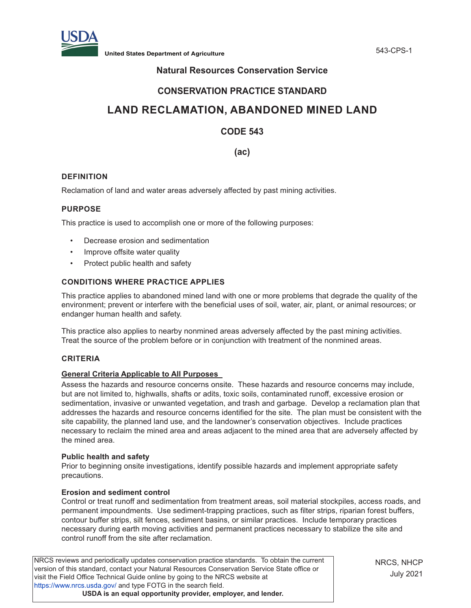

**United States Department of Agriculture** 543-CPS-1

## **Natural Resources Conservation Service**

## **CONSERVATION PRACTICE STANDARD**

# **LAND RECLAMATION, ABANDONED MINED LAND**

## **CODE 543**

**(ac)**

## **DEFINITION**

Reclamation of land and water areas adversely affected by past mining activities.

### **PURPOSE**

This practice is used to accomplish one or more of the following purposes:

- Decrease erosion and sedimentation
- Improve offsite water quality
- Protect public health and safety

## **CONDITIONS WHERE PRACTICE APPLIES**

This practice applies to abandoned mined land with one or more problems that degrade the quality of the environment; prevent or interfere with the beneficial uses of soil, water, air, plant, or animal resources; or endanger human health and safety.

This practice also applies to nearby nonmined areas adversely affected by the past mining activities. Treat the source of the problem before or in conjunction with treatment of the nonmined areas.

## **CRITERIA**

#### **General Criteria Applicable to All Purposes**

Assess the hazards and resource concerns onsite. These hazards and resource concerns may include, but are not limited to, highwalls, shafts or adits, toxic soils, contaminated runoff, excessive erosion or sedimentation, invasive or unwanted vegetation, and trash and garbage. Develop a reclamation plan that addresses the hazards and resource concerns identified for the site. The plan must be consistent with the site capability, the planned land use, and the landowner's conservation objectives. Include practices necessary to reclaim the mined area and areas adjacent to the mined area that are adversely affected by the mined area.

#### **Public health and safety**

Prior to beginning onsite investigations, identify possible hazards and implement appropriate safety precautions.

#### **Erosion and sediment control**

Control or treat runoff and sedimentation from treatment areas, soil material stockpiles, access roads, and permanent impoundments. Use sediment-trapping practices, such as filter strips, riparian forest buffers, contour buffer strips, silt fences, sediment basins, or similar practices. Include temporary practices necessary during earth moving activities and permanent practices necessary to stabilize the site and control runoff from the site after reclamation.

NRCS reviews and periodically updates conservation practice standards. To obtain the current version of this standard, contact your Natural Resources Conservation Service State office or visit the Field Office Technical Guide online by going to the NRCS website at <https://www.nrcs.usda.gov/>and type FOTG in the search field. **USDA is an equal opportunity provider, employer, and lender.**

NRCS, NHCP July 2021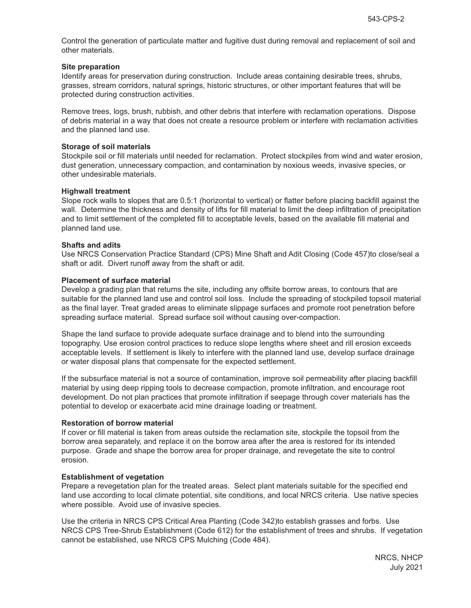Control the generation of particulate matter and fugitive dust during removal and replacement of soil and other materials.

#### **Site preparation**

Identify areas for preservation during construction. Include areas containing desirable trees, shrubs, grasses, stream corridors, natural springs, historic structures, or other important features that will be protected during construction activities.

Remove trees, logs, brush, rubbish, and other debris that interfere with reclamation operations. Dispose of debris material in a way that does not create a resource problem or interfere with reclamation activities and the planned land use.

#### **Storage of soil materials**

Stockpile soil or fill materials until needed for reclamation. Protect stockpiles from wind and water erosion, dust generation, unnecessary compaction, and contamination by noxious weeds, invasive species, or other undesirable materials.

#### **Highwall treatment**

Slope rock walls to slopes that are 0.5:1 (horizontal to vertical) or flatter before placing backfill against the wall. Determine the thickness and density of lifts for fill material to limit the deep infiltration of precipitation and to limit settlement of the completed fill to acceptable levels, based on the available fill material and planned land use.

#### **Shafts and adits**

Use NRCS Conservation Practice Standard (CPS) Mine Shaft and Adit Closing (Code 457)to close/seal a shaft or adit. Divert runoff away from the shaft or adit.

#### **Placement of surface material**

Develop a grading plan that returns the site, including any offsite borrow areas, to contours that are suitable for the planned land use and control soil loss. Include the spreading of stockpiled topsoil material as the final layer. Treat graded areas to eliminate slippage surfaces and promote root penetration before spreading surface material. Spread surface soil without causing over-compaction.

Shape the land surface to provide adequate surface drainage and to blend into the surrounding topography. Use erosion control practices to reduce slope lengths where sheet and rill erosion exceeds acceptable levels. If settlement is likely to interfere with the planned land use, develop surface drainage or water disposal plans that compensate for the expected settlement.

If the subsurface material is not a source of contamination, improve soil permeability after placing backfill material by using deep ripping tools to decrease compaction, promote infiltration, and encourage root development. Do not plan practices that promote infiltration if seepage through cover materials has the potential to develop or exacerbate acid mine drainage loading or treatment.

#### **Restoration of borrow material**

If cover or fill material is taken from areas outside the reclamation site, stockpile the topsoil from the borrow area separately, and replace it on the borrow area after the area is restored for its intended purpose. Grade and shape the borrow area for proper drainage, and revegetate the site to control erosion.

#### **Establishment of vegetation**

Prepare a revegetation plan for the treated areas. Select plant materials suitable for the specified end land use according to local climate potential, site conditions, and local NRCS criteria. Use native species where possible. Avoid use of invasive species.

Use the criteria in NRCS CPS Critical Area Planting (Code 342)to establish grasses and forbs. Use NRCS CPS Tree-Shrub Establishment (Code 612) for the establishment of trees and shrubs. If vegetation cannot be established, use NRCS CPS Mulching (Code 484).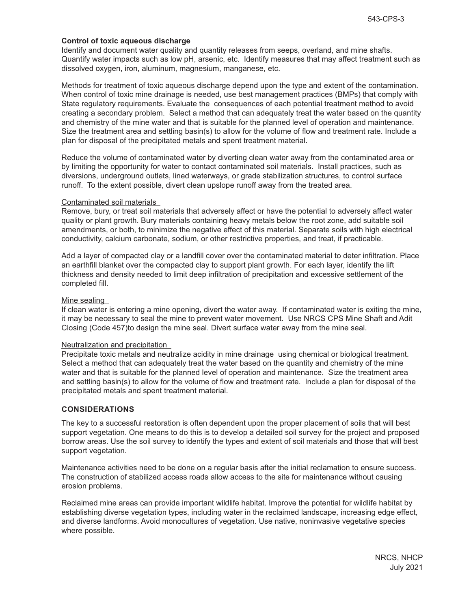#### **Control of toxic aqueous discharge**

Identify and document water quality and quantity releases from seeps, overland, and mine shafts. Quantify water impacts such as low pH, arsenic, etc. Identify measures that may affect treatment such as dissolved oxygen, iron, aluminum, magnesium, manganese, etc.

Methods for treatment of toxic aqueous discharge depend upon the type and extent of the contamination. When control of toxic mine drainage is needed, use best management practices (BMPs) that comply with State regulatory requirements. Evaluate the consequences of each potential treatment method to avoid creating a secondary problem. Select a method that can adequately treat the water based on the quantity and chemistry of the mine water and that is suitable for the planned level of operation and maintenance. Size the treatment area and settling basin(s) to allow for the volume of flow and treatment rate. Include a plan for disposal of the precipitated metals and spent treatment material.

Reduce the volume of contaminated water by diverting clean water away from the contaminated area or by limiting the opportunity for water to contact contaminated soil materials. Install practices, such as diversions, underground outlets, lined waterways, or grade stabilization structures, to control surface runoff. To the extent possible, divert clean upslope runoff away from the treated area.

#### Contaminated soil materials

Remove, bury, or treat soil materials that adversely affect or have the potential to adversely affect water quality or plant growth. Bury materials containing heavy metals below the root zone, add suitable soil amendments, or both, to minimize the negative effect of this material. Separate soils with high electrical conductivity, calcium carbonate, sodium, or other restrictive properties, and treat, if practicable.

Add a layer of compacted clay or a landfill cover over the contaminated material to deter infiltration. Place an earthfill blanket over the compacted clay to support plant growth. For each layer, identify the lift thickness and density needed to limit deep infiltration of precipitation and excessive settlement of the completed fill.

#### Mine sealing

If clean water is entering a mine opening, divert the water away. If contaminated water is exiting the mine, it may be necessary to seal the mine to prevent water movement. Use NRCS CPS Mine Shaft and Adit Closing (Code 457)to design the mine seal. Divert surface water away from the mine seal.

#### Neutralization and precipitation

Precipitate toxic metals and neutralize acidity in mine drainage using chemical or biological treatment. Select a method that can adequately treat the water based on the quantity and chemistry of the mine water and that is suitable for the planned level of operation and maintenance. Size the treatment area and settling basin(s) to allow for the volume of flow and treatment rate. Include a plan for disposal of the precipitated metals and spent treatment material.

#### **CONSIDERATIONS**

The key to a successful restoration is often dependent upon the proper placement of soils that will best support vegetation. One means to do this is to develop a detailed soil survey for the project and proposed borrow areas. Use the soil survey to identify the types and extent of soil materials and those that will best support vegetation.

Maintenance activities need to be done on a regular basis after the initial reclamation to ensure success. The construction of stabilized access roads allow access to the site for maintenance without causing erosion problems.

Reclaimed mine areas can provide important wildlife habitat. Improve the potential for wildlife habitat by establishing diverse vegetation types, including water in the reclaimed landscape, increasing edge effect, and diverse landforms. Avoid monocultures of vegetation. Use native, noninvasive vegetative species where possible.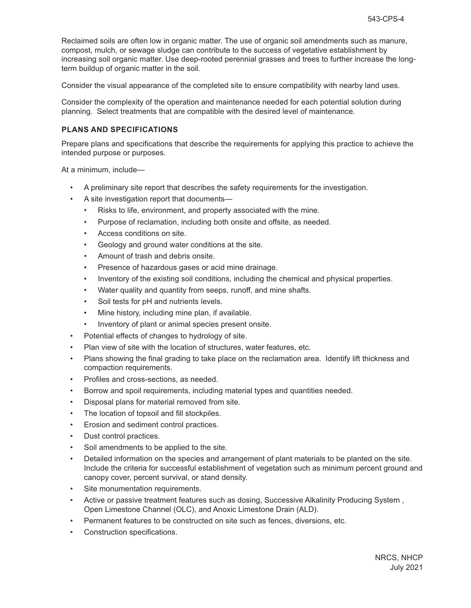Reclaimed soils are often low in organic matter. The use of organic soil amendments such as manure, compost, mulch, or sewage sludge can contribute to the success of vegetative establishment by increasing soil organic matter. Use deep-rooted perennial grasses and trees to further increase the longterm buildup of organic matter in the soil.

Consider the visual appearance of the completed site to ensure compatibility with nearby land uses.

Consider the complexity of the operation and maintenance needed for each potential solution during planning. Select treatments that are compatible with the desired level of maintenance.

#### **PLANS AND SPECIFICATIONS**

Prepare plans and specifications that describe the requirements for applying this practice to achieve the intended purpose or purposes.

At a minimum, include—

- A preliminary site report that describes the safety requirements for the investigation.
- A site investigation report that documents—
	- Risks to life, environment, and property associated with the mine.
	- Purpose of reclamation, including both onsite and offsite, as needed.
	- Access conditions on site.
	- Geology and ground water conditions at the site.
	- Amount of trash and debris onsite.
	- Presence of hazardous gases or acid mine drainage.
	- Inventory of the existing soil conditions, including the chemical and physical properties.
	- Water quality and quantity from seeps, runoff, and mine shafts.
	- Soil tests for pH and nutrients levels.
	- Mine history, including mine plan, if available.
	- Inventory of plant or animal species present onsite.
- Potential effects of changes to hydrology of site.
- Plan view of site with the location of structures, water features, etc.
- Plans showing the final grading to take place on the reclamation area. Identify lift thickness and compaction requirements.
- Profiles and cross-sections, as needed.
- Borrow and spoil requirements, including material types and quantities needed.
- Disposal plans for material removed from site.
- The location of topsoil and fill stockpiles.
- Erosion and sediment control practices.
- Dust control practices.
- Soil amendments to be applied to the site.
- Detailed information on the species and arrangement of plant materials to be planted on the site. Include the criteria for successful establishment of vegetation such as minimum percent ground and canopy cover, percent survival, or stand density.
- Site monumentation requirements.
- Active or passive treatment features such as dosing, Successive Alkalinity Producing System , Open Limestone Channel (OLC), and Anoxic Limestone Drain (ALD).
- Permanent features to be constructed on site such as fences, diversions, etc.
- Construction specifications.